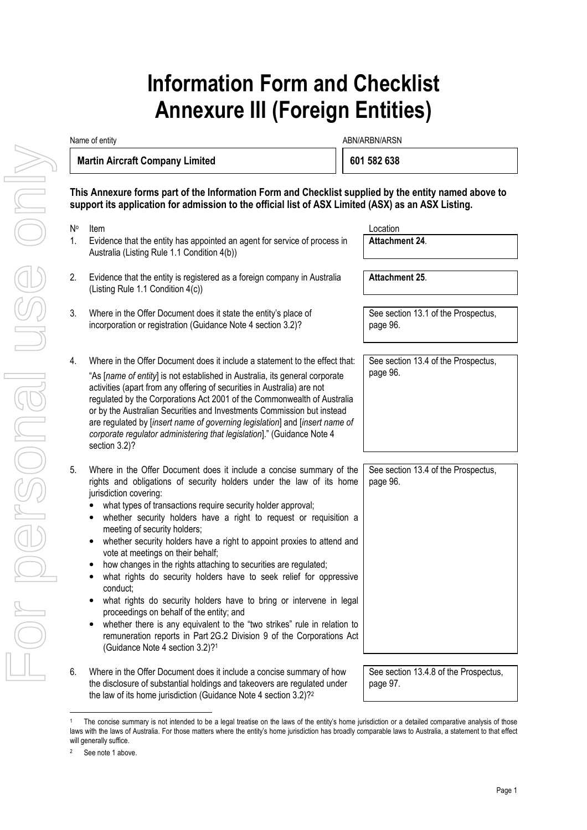## **Information Form and Checklist Annexure III (Foreign Entities)**

| Name of entity                         |                                                                                                                                                                                                                                                                                                                                                                                                                                                                                                                                                                                                                                                                                                                                                                                                                                                                                                                                                                    | ABN/ARBN/ARSN                                   |  |
|----------------------------------------|--------------------------------------------------------------------------------------------------------------------------------------------------------------------------------------------------------------------------------------------------------------------------------------------------------------------------------------------------------------------------------------------------------------------------------------------------------------------------------------------------------------------------------------------------------------------------------------------------------------------------------------------------------------------------------------------------------------------------------------------------------------------------------------------------------------------------------------------------------------------------------------------------------------------------------------------------------------------|-------------------------------------------------|--|
| <b>Martin Aircraft Company Limited</b> |                                                                                                                                                                                                                                                                                                                                                                                                                                                                                                                                                                                                                                                                                                                                                                                                                                                                                                                                                                    | 601 582 638                                     |  |
|                                        | This Annexure forms part of the Information Form and Checklist supplied by the entity named above to<br>support its application for admission to the official list of ASX Limited (ASX) as an ASX Listing.                                                                                                                                                                                                                                                                                                                                                                                                                                                                                                                                                                                                                                                                                                                                                         |                                                 |  |
| N°<br>1.                               | Item<br>Evidence that the entity has appointed an agent for service of process in<br>Australia (Listing Rule 1.1 Condition 4(b))                                                                                                                                                                                                                                                                                                                                                                                                                                                                                                                                                                                                                                                                                                                                                                                                                                   | Location<br>Attachment 24.                      |  |
| 2.                                     | Evidence that the entity is registered as a foreign company in Australia<br>(Listing Rule 1.1 Condition 4(c))                                                                                                                                                                                                                                                                                                                                                                                                                                                                                                                                                                                                                                                                                                                                                                                                                                                      | Attachment 25.                                  |  |
| 3.                                     | Where in the Offer Document does it state the entity's place of<br>incorporation or registration (Guidance Note 4 section 3.2)?                                                                                                                                                                                                                                                                                                                                                                                                                                                                                                                                                                                                                                                                                                                                                                                                                                    | See section 13.1 of the Prospectus,<br>page 96. |  |
| 4.                                     | Where in the Offer Document does it include a statement to the effect that:<br>"As [name of entity] is not established in Australia, its general corporate<br>activities (apart from any offering of securities in Australia) are not<br>regulated by the Corporations Act 2001 of the Commonwealth of Australia<br>or by the Australian Securities and Investments Commission but instead<br>are regulated by [insert name of governing legislation] and [insert name of<br>corporate regulator administering that legislation]." (Guidance Note 4<br>section 3.2)?                                                                                                                                                                                                                                                                                                                                                                                               | See section 13.4 of the Prospectus,<br>page 96. |  |
| 5.                                     | Where in the Offer Document does it include a concise summary of the<br>rights and obligations of security holders under the law of its home<br>jurisdiction covering:<br>what types of transactions require security holder approval;<br>whether security holders have a right to request or requisition a<br>٠<br>meeting of security holders;<br>whether security holders have a right to appoint proxies to attend and<br>$\bullet$<br>vote at meetings on their behalf;<br>how changes in the rights attaching to securities are regulated;<br>what rights do security holders have to seek relief for oppressive<br>conduct;<br>what rights do security holders have to bring or intervene in legal<br>٠<br>proceedings on behalf of the entity; and<br>whether there is any equivalent to the "two strikes" rule in relation to<br>٠<br>remuneration reports in Part 2G.2 Division 9 of the Corporations Act<br>(Guidance Note 4 section 3.2)? <sup>1</sup> | See section 13.4 of the Prospectus,<br>page 96. |  |
| 6.                                     | Where in the Offer Document does it include a concise summary of how                                                                                                                                                                                                                                                                                                                                                                                                                                                                                                                                                                                                                                                                                                                                                                                                                                                                                               | See section 13.4.8 of the Prospectus,           |  |

page 97.

the disclosure of substantial holdings and takeovers are regulated under the law of its home jurisdiction (Guidance Note 4 section 3.2)?<sup>2</sup>

l

<sup>1</sup> The concise summary is not intended to be a legal treatise on the laws of the entity's home jurisdiction or a detailed comparative analysis of those laws with the laws of Australia. For those matters where the entity's home jurisdiction has broadly comparable laws to Australia, a statement to that effect will generally suffice.

<sup>2</sup> See note 1 above.